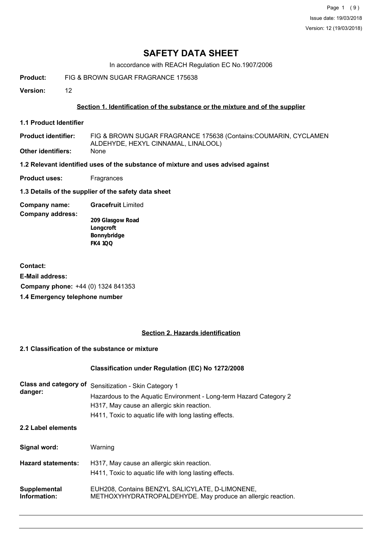Page 1 (9) Issue date: 19/03/2018 Version: 12 (19/03/2018)

# **SAFETY DATA SHEET**

In accordance with REACH Regulation EC No.1907/2006

**Product:** FIG & BROWN SUGAR FRAGRANCE 175638

**Version:** 12

### **Section 1. Identification of the substance or the mixture and of the supplier**

**1.1 Product Identifier**

FIG & BROWN SUGAR FRAGRANCE 175638 (Contains:COUMARIN, CYCLAMEN ALDEHYDE, HEXYL CINNAMAL, LINALOOL) **Product identifier: Other identifiers:** None

#### **1.2 Relevant identified uses of the substance of mixture and uses advised against**

**Product uses:** Fragrances

**1.3 Details of the supplier of the safety data sheet**

**Company name: Gracefruit** Limited

**Company address:**

**209 Glasgow Road Longcroft Bonnybridge FK4 1QQ**

**Contact: E-Mail address: Company phone:** +44 (0) 1324 841353 **1.4 Emergency telephone number**

### **Section 2. Hazards identification**

## **2.1 Classification of the substance or mixture**

#### **Classification under Regulation (EC) No 1272/2008**

| Class and category of<br>danger: | Sensitization - Skin Category 1<br>Hazardous to the Aquatic Environment - Long-term Hazard Category 2<br>H317, May cause an allergic skin reaction.<br>H411, Toxic to aquatic life with long lasting effects. |
|----------------------------------|---------------------------------------------------------------------------------------------------------------------------------------------------------------------------------------------------------------|
| 2.2 Label elements               |                                                                                                                                                                                                               |
| Signal word:                     | Warning                                                                                                                                                                                                       |
| <b>Hazard statements:</b>        | H317, May cause an allergic skin reaction.<br>H411, Toxic to aquatic life with long lasting effects.                                                                                                          |
| Supplemental<br>Information:     | EUH208, Contains BENZYL SALICYLATE, D-LIMONENE,<br>METHOXYHYDRATROPALDEHYDE. May produce an allergic reaction.                                                                                                |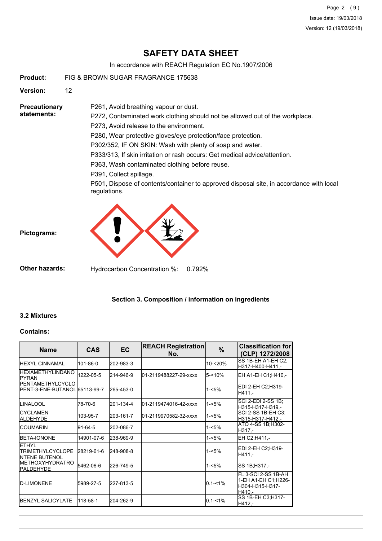Page 2 (9) Issue date: 19/03/2018 Version: 12 (19/03/2018)

# **SAFETY DATA SHEET**

In accordance with REACH Regulation EC No.1907/2006

**Product:** FIG & BROWN SUGAR FRAGRANCE 175638

**Version:** 12

**Precautionary statements:**

P272, Contaminated work clothing should not be allowed out of the workplace.

P273, Avoid release to the environment.

P261, Avoid breathing vapour or dust.

P280, Wear protective gloves/eye protection/face protection.

P302/352, IF ON SKIN: Wash with plenty of soap and water.

P333/313, If skin irritation or rash occurs: Get medical advice/attention.

P363, Wash contaminated clothing before reuse.

P391, Collect spillage.

P501, Dispose of contents/container to approved disposal site, in accordance with local regulations.



**Other hazards:** Hydrocarbon Concentration %: 0.792%

#### **Section 3. Composition / information on ingredients**

#### **3.2 Mixtures**

**Pictograms:**

#### **Contains:**

| <b>Name</b>                                                       | <b>CAS</b>    | <b>EC</b> | <b>REACH Registration</b><br>No. | %           | <b>Classification for</b><br>(CLP) 1272/2008                             |
|-------------------------------------------------------------------|---------------|-----------|----------------------------------|-------------|--------------------------------------------------------------------------|
| <b>HEXYL CINNAMAL</b>                                             | 101-86-0      | 202-983-3 |                                  | 10-<20%     | SS 1B-EH A1-EH C2:<br>H317-H400-H411,-                                   |
| <b>IHEXAMETHYLINDANO</b><br><b>IPYRAN</b>                         | 1222-05-5     | 214-946-9 | 01-2119488227-29-xxxx            | $5 - 10%$   | EH A1-EH C1; H410,-                                                      |
| <b>PENTAMETHYLCYCLO</b><br>IPENT-3-ENE-BUTANOL 65113-99-7         |               | 265-453-0 |                                  | $1 - 5%$    | EDI 2-EH C2;H319-<br>H411,-                                              |
| <b>ILINALOOL</b>                                                  | 78-70-6       | 201-134-4 | 01-2119474016-42-xxxx            | $1 - 5%$    | SCI 2-EDI 2-SS 1B;<br>H315-H317-H319,-                                   |
| <b>ICYCLAMEN</b><br>ALDEHYDE                                      | 103-95-7      | 203-161-7 | 01-2119970582-32-xxxx            | $1 - 5%$    | SCI 2-SS 1B-EH C3;<br>H315-H317-H412,-                                   |
| ICOUMARIN                                                         | $91 - 64 - 5$ | 202-086-7 |                                  | $1 - 5%$    | ATO 4-SS 1B; H302-<br>H317.-                                             |
| <b>IBETA-IONONE</b>                                               | 14901-07-6    | 238-969-9 |                                  | 1-<5%       | EH C2:H411,-                                                             |
| <b>ETHYL</b><br><b>ITRIMETHYLCYCLOPE</b><br><b>INTENE BUTENOL</b> | 28219-61-6    | 248-908-8 |                                  | $1 - 5%$    | EDI 2-EH C2;H319-<br>$H411. -$                                           |
| <b>IMETHOXYHYDRATRO</b><br><b>PALDEHYDE</b>                       | 5462-06-6     | 226-749-5 |                                  | 1-<5%       | SS 1B;H317,-                                                             |
| <b>ID-LIMONENE</b>                                                | 5989-27-5     | 227-813-5 |                                  | $0.1 - 1\%$ | FL 3-SCI 2-SS 1B-AH<br>1-EH A1-EH C1; H226-<br>H304-H315-H317-<br>H410.- |
| <b>IBENZYL SALICYLATE</b>                                         | 118-58-1      | 204-262-9 |                                  | $0.1 - 1\%$ | SS 1B-EH C3; H317-<br>H412,-                                             |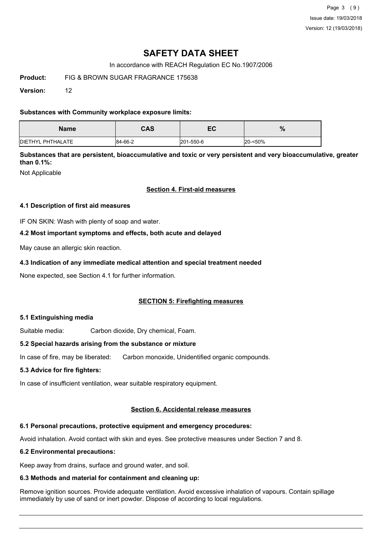Page 3 (9) Issue date: 19/03/2018 Version: 12 (19/03/2018)

# **SAFETY DATA SHEET**

In accordance with REACH Regulation EC No.1907/2006

**Product:** FIG & BROWN SUGAR FRAGRANCE 175638

**Version:** 12

### **Substances with Community workplace exposure limits:**

| <b>Name</b>               | <b>CAS</b> | - ^<br>cc. | %       |
|---------------------------|------------|------------|---------|
| <b>IDIETHYL PHTHALATE</b> | 84-66-2    | 201-550-6  | 20-<50% |

**Substances that are persistent, bioaccumulative and toxic or very persistent and very bioaccumulative, greater than 0.1%:**

Not Applicable

#### **Section 4. First-aid measures**

#### **4.1 Description of first aid measures**

IF ON SKIN: Wash with plenty of soap and water.

#### **4.2 Most important symptoms and effects, both acute and delayed**

May cause an allergic skin reaction.

### **4.3 Indication of any immediate medical attention and special treatment needed**

None expected, see Section 4.1 for further information.

#### **SECTION 5: Firefighting measures**

#### **5.1 Extinguishing media**

Suitable media: Carbon dioxide, Dry chemical, Foam.

#### **5.2 Special hazards arising from the substance or mixture**

In case of fire, may be liberated: Carbon monoxide, Unidentified organic compounds.

#### **5.3 Advice for fire fighters:**

In case of insufficient ventilation, wear suitable respiratory equipment.

#### **Section 6. Accidental release measures**

## **6.1 Personal precautions, protective equipment and emergency procedures:**

Avoid inhalation. Avoid contact with skin and eyes. See protective measures under Section 7 and 8.

## **6.2 Environmental precautions:**

Keep away from drains, surface and ground water, and soil.

## **6.3 Methods and material for containment and cleaning up:**

Remove ignition sources. Provide adequate ventilation. Avoid excessive inhalation of vapours. Contain spillage immediately by use of sand or inert powder. Dispose of according to local regulations.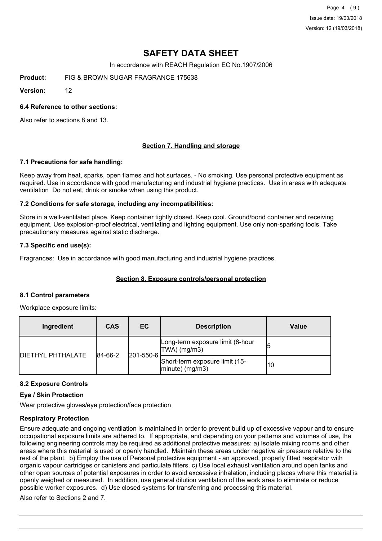Page 4 (9) Issue date: 19/03/2018 Version: 12 (19/03/2018)

# **SAFETY DATA SHEET**

In accordance with REACH Regulation EC No.1907/2006

**Product:** FIG & BROWN SUGAR FRAGRANCE 175638

**Version:** 12

### **6.4 Reference to other sections:**

Also refer to sections 8 and 13.

### **Section 7. Handling and storage**

#### **7.1 Precautions for safe handling:**

Keep away from heat, sparks, open flames and hot surfaces. - No smoking. Use personal protective equipment as required. Use in accordance with good manufacturing and industrial hygiene practices. Use in areas with adequate ventilation Do not eat, drink or smoke when using this product.

#### **7.2 Conditions for safe storage, including any incompatibilities:**

Store in a well-ventilated place. Keep container tightly closed. Keep cool. Ground/bond container and receiving equipment. Use explosion-proof electrical, ventilating and lighting equipment. Use only non-sparking tools. Take precautionary measures against static discharge.

#### **7.3 Specific end use(s):**

Fragrances: Use in accordance with good manufacturing and industrial hygiene practices.

#### **Section 8. Exposure controls/personal protection**

#### **8.1 Control parameters**

Workplace exposure limits:

| Ingredient               | <b>CAS</b> | EC        | <b>Description</b>                                   | Value |  |
|--------------------------|------------|-----------|------------------------------------------------------|-------|--|
| <b>DIETHYL PHTHALATE</b> | 84-66-2    |           | Long-term exposure limit (8-hour<br> TWA  (mg/m3)    |       |  |
|                          |            | 201-550-6 | Short-term exposure limit (15-<br>$ minute)$ (mg/m3) | 10    |  |

#### **8.2 Exposure Controls**

#### **Eye / Skin Protection**

Wear protective gloves/eye protection/face protection

#### **Respiratory Protection**

Ensure adequate and ongoing ventilation is maintained in order to prevent build up of excessive vapour and to ensure occupational exposure limits are adhered to. If appropriate, and depending on your patterns and volumes of use, the following engineering controls may be required as additional protective measures: a) Isolate mixing rooms and other areas where this material is used or openly handled. Maintain these areas under negative air pressure relative to the rest of the plant. b) Employ the use of Personal protective equipment - an approved, properly fitted respirator with organic vapour cartridges or canisters and particulate filters. c) Use local exhaust ventilation around open tanks and other open sources of potential exposures in order to avoid excessive inhalation, including places where this material is openly weighed or measured. In addition, use general dilution ventilation of the work area to eliminate or reduce possible worker exposures. d) Use closed systems for transferring and processing this material.

Also refer to Sections 2 and 7.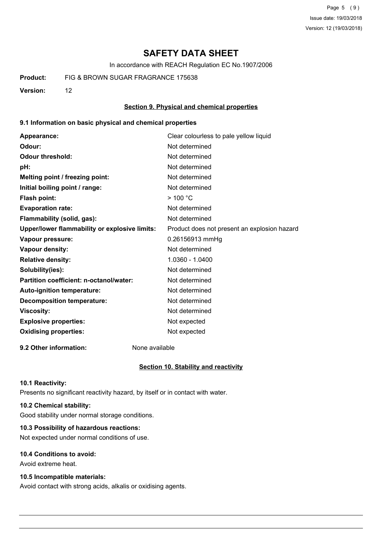Page 5 (9) Issue date: 19/03/2018 Version: 12 (19/03/2018)

# **SAFETY DATA SHEET**

In accordance with REACH Regulation EC No.1907/2006

**Product:** FIG & BROWN SUGAR FRAGRANCE 175638

**Version:** 12

#### **Section 9. Physical and chemical properties**

#### **9.1 Information on basic physical and chemical properties**

| Appearance:                                          | Clear colourless to pale yellow liquid       |
|------------------------------------------------------|----------------------------------------------|
| Odour:                                               | Not determined                               |
| <b>Odour threshold:</b>                              | Not determined                               |
| pH:                                                  | Not determined                               |
| Melting point / freezing point:                      | Not determined                               |
| Initial boiling point / range:                       | Not determined                               |
| Flash point:                                         | >100 °C                                      |
| <b>Evaporation rate:</b>                             | Not determined                               |
| Flammability (solid, gas):                           | Not determined                               |
| <b>Upper/lower flammability or explosive limits:</b> | Product does not present an explosion hazard |
| Vapour pressure:                                     | 0.26156913 mmHg                              |
| <b>Vapour density:</b>                               | Not determined                               |
| <b>Relative density:</b>                             | 1.0360 - 1.0400                              |
| Solubility(ies):                                     | Not determined                               |
| Partition coefficient: n-octanol/water:              | Not determined                               |
| <b>Auto-ignition temperature:</b>                    | Not determined                               |
| <b>Decomposition temperature:</b>                    | Not determined                               |
| <b>Viscosity:</b>                                    | Not determined                               |
| <b>Explosive properties:</b>                         | Not expected                                 |
| <b>Oxidising properties:</b>                         | Not expected                                 |
|                                                      |                                              |

**9.2 Other information:** None available

#### **Section 10. Stability and reactivity**

#### **10.1 Reactivity:**

Presents no significant reactivity hazard, by itself or in contact with water.

## **10.2 Chemical stability:**

Good stability under normal storage conditions.

## **10.3 Possibility of hazardous reactions:**

Not expected under normal conditions of use.

### **10.4 Conditions to avoid:**

Avoid extreme heat.

#### **10.5 Incompatible materials:**

Avoid contact with strong acids, alkalis or oxidising agents.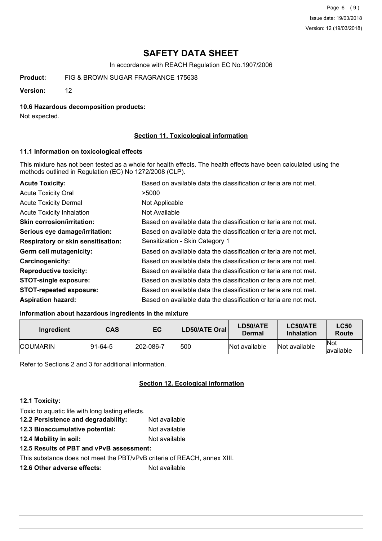Page 6 (9) Issue date: 19/03/2018 Version: 12 (19/03/2018)

# **SAFETY DATA SHEET**

In accordance with REACH Regulation EC No.1907/2006

**Product:** FIG & BROWN SUGAR FRAGRANCE 175638

**Version:** 12

#### **10.6 Hazardous decomposition products:**

Not expected.

### **Section 11. Toxicological information**

#### **11.1 Information on toxicological effects**

This mixture has not been tested as a whole for health effects. The health effects have been calculated using the methods outlined in Regulation (EC) No 1272/2008 (CLP).

| <b>Acute Toxicity:</b>                    | Based on available data the classification criteria are not met. |
|-------------------------------------------|------------------------------------------------------------------|
| <b>Acute Toxicity Oral</b>                | >5000                                                            |
| <b>Acute Toxicity Dermal</b>              | Not Applicable                                                   |
| <b>Acute Toxicity Inhalation</b>          | Not Available                                                    |
| <b>Skin corrosion/irritation:</b>         | Based on available data the classification criteria are not met. |
| Serious eye damage/irritation:            | Based on available data the classification criteria are not met. |
| <b>Respiratory or skin sensitisation:</b> | Sensitization - Skin Category 1                                  |
| Germ cell mutagenicity:                   | Based on available data the classification criteria are not met. |
| <b>Carcinogenicity:</b>                   | Based on available data the classification criteria are not met. |
| <b>Reproductive toxicity:</b>             | Based on available data the classification criteria are not met. |
| <b>STOT-single exposure:</b>              | Based on available data the classification criteria are not met. |
| <b>STOT-repeated exposure:</b>            | Based on available data the classification criteria are not met. |
| <b>Aspiration hazard:</b>                 | Based on available data the classification criteria are not met. |

### **Information about hazardous ingredients in the mixture**

| Ingredient       | CAS      | EC        | LD50/ATE Oral | LD50/ATE<br>Dermal | LC50/ATE<br><b>Inhalation</b> | <b>LC50</b><br>Route     |
|------------------|----------|-----------|---------------|--------------------|-------------------------------|--------------------------|
| <b>ICOUMARIN</b> | 191-64-5 | 202-086-7 | 500           | Not available      | Not available                 | <b>Not</b><br>lavailable |

Refer to Sections 2 and 3 for additional information.

#### **Section 12. Ecological information**

### **12.1 Toxicity:**

| Toxic to aquatic life with long lasting effects. |               |
|--------------------------------------------------|---------------|
| 12.2 Persistence and degradability:              | Not available |
| 12.3 Bioaccumulative potential:                  | Not available |
| 12.4 Mobility in soil:                           | Not available |
|                                                  |               |

**12.5 Results of PBT and vPvB assessment:**

This substance does not meet the PBT/vPvB criteria of REACH, annex XIII.

**12.6 Other adverse effects:** Not available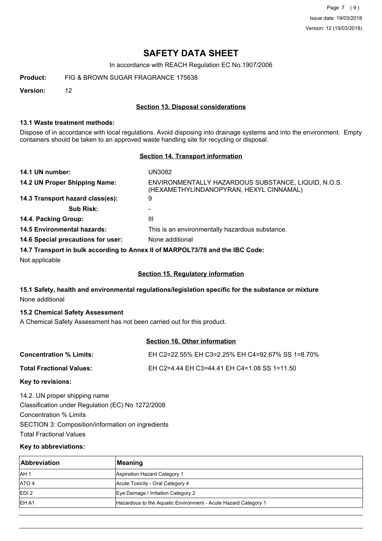Page 7 (9) Issue date: 19/03/2018 Version: 12 (19/03/2018)

# **SAFETY DATA SHEET**

In accordance with REACH Regulation EC No.1907/2006

**Product:** FIG & BROWN SUGAR FRAGRANCE 175638

**Version:** 12

#### **Section 13. Disposal considerations**

#### **13.1 Waste treatment methods:**

Dispose of in accordance with local regulations. Avoid disposing into drainage systems and into the environment. Empty containers should be taken to an approved waste handling site for recycling or disposal.

#### **Section 14. Transport information**

| 14.1 UN number:                    | UN3082                                                                                         |
|------------------------------------|------------------------------------------------------------------------------------------------|
| 14.2 UN Proper Shipping Name:      | ENVIRONMENTALLY HAZARDOUS SUBSTANCE, LIQUID, N.O.S.<br>(HEXAMETHYLINDANOPYRAN, HEXYL CINNAMAL) |
| 14.3 Transport hazard class(es):   | 9                                                                                              |
| <b>Sub Risk:</b>                   | ۰                                                                                              |
| 14.4. Packing Group:               | Ш                                                                                              |
| <b>14.5 Environmental hazards:</b> | This is an environmentally hazardous substance.                                                |
| 14.6 Special precautions for user: | None additional                                                                                |
|                                    | 14.7 Transport in bulk according to Anney II of MARPOL 73/78 and the IRC Code:                 |

**14.7 Transport in bulk according to Annex II of MARPOL73/78 and the IBC Code:**

Not applicable

### **Section 15. Regulatory information**

## **15.1 Safety, health and environmental regulations/legislation specific for the substance or mixture** None additional

#### **15.2 Chemical Safety Assessment**

A Chemical Safety Assessment has not been carried out for this product.

### **Section 16. Other information**

| <b>Concentration % Limits:</b>  | EH C2=22.55% EH C3=2.25% EH C4=92.67% SS 1=8.70% |
|---------------------------------|--------------------------------------------------|
| <b>Total Fractional Values:</b> | EH C2=4.44 EH C3=44.41 EH C4=1.08 SS 1=11.50     |
|                                 |                                                  |

#### **Key to revisions:**

14.2. UN proper shipping name Classification under Regulation (EC) No 1272/2008 Concentration % Limits SECTION 3: Composition/information on ingredients Total Fractional Values

#### **Key to abbreviations:**

| <b>Abbreviation</b> | Meaning                                                        |  |
|---------------------|----------------------------------------------------------------|--|
| IAH <sub>1</sub>    | Aspiration Hazard Category 1                                   |  |
| <b>ATO 4</b>        | Acute Toxicity - Oral Category 4                               |  |
| <b>EDI2</b>         | Eye Damage / Irritation Category 2                             |  |
| <b>IEH A1</b>       | Hazardous to the Aquatic Environment - Acute Hazard Category 1 |  |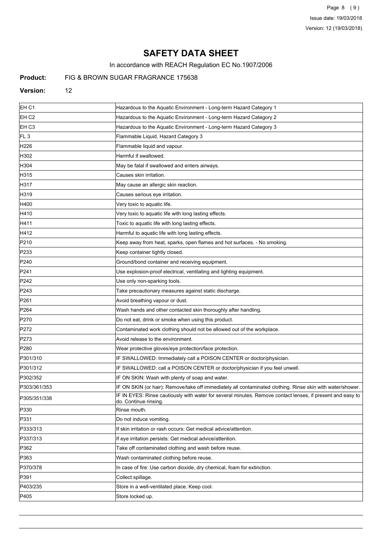Page 8 (9) Issue date: 19/03/2018 Version: 12 (19/03/2018)

# **SAFETY DATA SHEET**

In accordance with REACH Regulation EC No.1907/2006

## **Product:** FIG & BROWN SUGAR FRAGRANCE 175638

#### **Version:** 12

| EH C1             | Hazardous to the Aquatic Environment - Long-term Hazard Category 1                                                                  |
|-------------------|-------------------------------------------------------------------------------------------------------------------------------------|
| EH C <sub>2</sub> | Hazardous to the Aquatic Environment - Long-term Hazard Category 2                                                                  |
| EH <sub>C3</sub>  | Hazardous to the Aquatic Environment - Long-term Hazard Category 3                                                                  |
| FL <sub>3</sub>   | Flammable Liquid, Hazard Category 3                                                                                                 |
| H226              | Flammable liquid and vapour.                                                                                                        |
| H302              | Harmful if swallowed.                                                                                                               |
| H304              | May be fatal if swallowed and enters airways.                                                                                       |
| H315              | Causes skin irritation.                                                                                                             |
| H317              | May cause an allergic skin reaction.                                                                                                |
| H319              | Causes serious eye irritation.                                                                                                      |
| H400              | Very toxic to aquatic life.                                                                                                         |
| H410              | Very toxic to aquatic life with long lasting effects.                                                                               |
| H411              | Toxic to aquatic life with long lasting effects.                                                                                    |
| H412              | Harmful to aquatic life with long lasting effects.                                                                                  |
| P210              | Keep away from heat, sparks, open flames and hot surfaces. - No smoking.                                                            |
| P233              | Keep container tightly closed.                                                                                                      |
| P <sub>240</sub>  | Ground/bond container and receiving equipment.                                                                                      |
| P241              | Use explosion-proof electrical, ventilating and lighting equipment.                                                                 |
| P <sub>242</sub>  | Use only non-sparking tools.                                                                                                        |
| P243              | Take precautionary measures against static discharge.                                                                               |
| P <sub>261</sub>  | Avoid breathing vapour or dust.                                                                                                     |
| P <sub>264</sub>  | Wash hands and other contacted skin thoroughly after handling.                                                                      |
| P270              | Do not eat, drink or smoke when using this product.                                                                                 |
| P272              | Contaminated work clothing should not be allowed out of the workplace.                                                              |
| P273              | Avoid release to the environment.                                                                                                   |
| P <sub>280</sub>  | Wear protective gloves/eye protection/face protection.                                                                              |
| P301/310          | IF SWALLOWED: Immediately call a POISON CENTER or doctor/physician.                                                                 |
| P301/312          | IF SWALLOWED: call a POISON CENTER or doctor/physician if you feel unwell.                                                          |
| P302/352          | IF ON SKIN: Wash with plenty of soap and water.                                                                                     |
| P303/361/353      | IF ON SKIN (or hair): Remove/take off immediately all contaminated clothing. Rinse skin with water/shower.                          |
| P305/351/338      | IF IN EYES: Rinse cautiously with water for several minutes. Remove contact lenses, if present and easy to<br>do. Continue rinsing. |
| P330              | Rinse mouth.                                                                                                                        |
| P331              | Do not induce vomiting.                                                                                                             |
| P333/313          | If skin irritation or rash occurs: Get medical advice/attention.                                                                    |
| P337/313          | If eye irritation persists: Get medical advice/attention.                                                                           |
| P362              | Take off contaminated clothing and wash before reuse.                                                                               |
| P363              | Wash contaminated clothing before reuse.                                                                                            |
| P370/378          | In case of fire: Use carbon dioxide, dry chemical, foam for extinction.                                                             |
| P391              | Collect spillage.                                                                                                                   |
| P403/235          | Store in a well-ventilated place. Keep cool.                                                                                        |
| P405              | Store locked up.                                                                                                                    |
|                   |                                                                                                                                     |